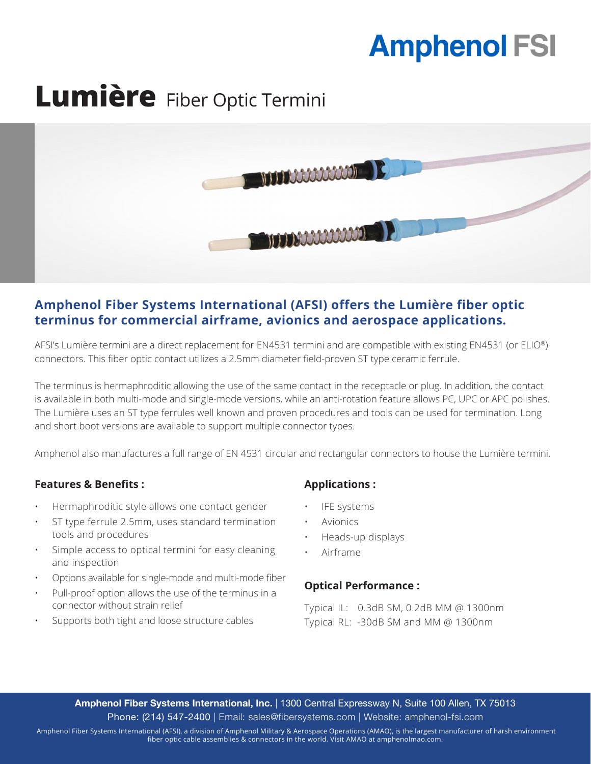# **Amphenol FSI**

## **Lumière** Fiber Optic Termini



### **Amphenol Fiber Systems International (AFSI) offers the Lumière fiber optic terminus for commercial airframe, avionics and aerospace applications.**

AFSI's Lumière termini are a direct replacement for EN4531 termini and are compatible with existing EN4531 (or ELIO®) connectors. This fiber optic contact utilizes a 2.5mm diameter field-proven ST type ceramic ferrule.

The terminus is hermaphroditic allowing the use of the same contact in the receptacle or plug. In addition, the contact is available in both multi-mode and single-mode versions, while an anti-rotation feature allows PC, UPC or APC polishes. The Lumière uses an ST type ferrules well known and proven procedures and tools can be used for termination. Long and short boot versions are available to support multiple connector types.

Amphenol also manufactures a full range of EN 4531 circular and rectangular connectors to house the Lumière termini.

#### **Features & Benefits :**

- Hermaphroditic style allows one contact gender
- ST type ferrule 2.5mm, uses standard termination tools and procedures
- Simple access to optical termini for easy cleaning and inspection
- Options available for single-mode and multi-mode fiber
- Pull-proof option allows the use of the terminus in a connector without strain relief
- Supports both tight and loose structure cables

#### **Applications :**

- **IFE** systems
- **Avionics**
- Heads-up displays
- Airframe

#### **Optical Performance :**

Typical IL: 0.3dB SM, 0.2dB MM @ 1300nm Typical RL: -30dB SM and MM @ 1300nm

Amphenol Fiber Systems International, Inc. | 1300 Central Expressway N, Suite 100 Allen, TX 75013 Phone: (214) 547-2400 | Email: sales@fibersystems.com | Website: amphenol-fsi.com

 Amphenol Fiber Systems International (AFSI), a division of Amphenol Military & Aerospace Operations (AMAO), is the largest manufacturer of harsh environment fiber optic cable assemblies & connectors in the world. Visit AMAO at amphenolmao.com.